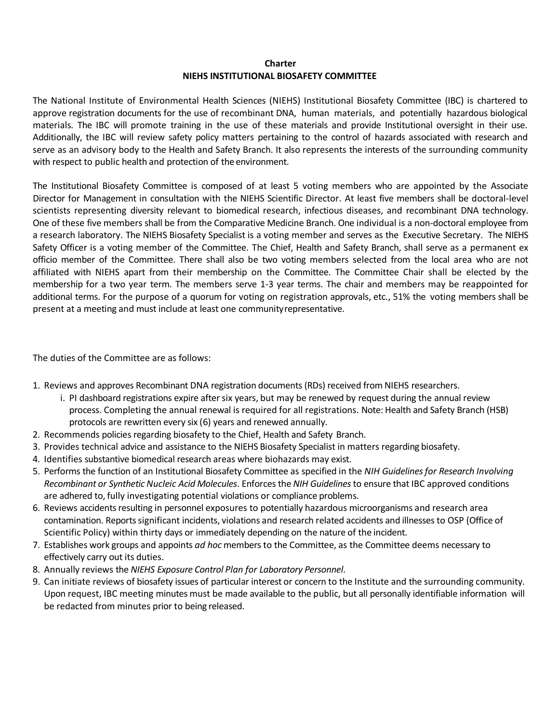## **Charter NIEHS INSTITUTIONAL BIOSAFETY COMMITTEE**

The National Institute of Environmental Health Sciences (NIEHS) Institutional Biosafety Committee (IBC) is chartered to approve registration documents for the use of recombinant DNA, human materials, and potentially hazardous biological materials. The IBC will promote training in the use of these materials and provide Institutional oversight in their use. Additionally, the IBC will review safety policy matters pertaining to the control of hazards associated with research and serve as an advisory body to the Health and Safety Branch. It also represents the interests of the surrounding community with respect to public health and protection of the environment.

The Institutional Biosafety Committee is composed of at least 5 voting members who are appointed by the Associate Director for Management in consultation with the NIEHS Scientific Director. At least five members shall be doctoral-level scientists representing diversity relevant to biomedical research, infectious diseases, and recombinant DNA technology. One of these five members shall be from the Comparative Medicine Branch. One individual is a non-doctoral employee from a research laboratory. The NIEHS Biosafety Specialist is a voting member and serves as the Executive Secretary. The NIEHS Safety Officer is a voting member of the Committee. The Chief, Health and Safety Branch, shall serve as a permanent ex officio member of the Committee. There shall also be two voting members selected from the local area who are not affiliated with NIEHS apart from their membership on the Committee. The Committee Chair shall be elected by the membership for a two year term. The members serve 1-3 year terms. The chair and members may be reappointed for additional terms. For the purpose of a quorum for voting on registration approvals, etc., 51% the voting members shall be present at a meeting and must include at least one communityrepresentative.

The duties of the Committee are as follows:

- 1. Reviews and approves Recombinant DNA registration documents (RDs) received from NIEHS researchers.
	- i. PI dashboard registrations expire after six years, but may be renewed by request during the annual review process. Completing the annual renewal is required for all registrations. Note: Health and Safety Branch (HSB) protocols are rewritten every six (6) years and renewed annually.
- 2. Recommends policies regarding biosafety to the Chief, Health and Safety Branch.
- 3. Provides technical advice and assistance to the NIEHS Biosafety Specialist in matters regarding biosafety.
- 4. Identifies substantive biomedical research areas where biohazards may exist.
- 5. Performs the function of an Institutional Biosafety Committee as specified in the *NIH Guidelines for Research Involving Recombinant or Synthetic Nucleic Acid Molecules*. Enforces the *NIH Guidelines* to ensure that IBC approved conditions are adhered to, fully investigating potential violations or compliance problems.
- 6. Reviews accidents resulting in personnel exposures to potentially hazardous microorganisms and research area contamination. Reports significant incidents, violations and research related accidents and illnesses to OSP (Office of Scientific Policy) within thirty days or immediately depending on the nature of the incident.
- 7. Establishes work groups and appoints *ad hoc* members to the Committee, as the Committee deems necessary to effectively carry out its duties.
- 8. Annually reviews the *NIEHS Exposure Control Plan for Laboratory Personnel*.
- 9. Can initiate reviews of biosafety issues of particular interest or concern to the Institute and the surrounding community. Upon request, IBC meeting minutes must be made available to the public, but all personally identifiable information will be redacted from minutes prior to being released.